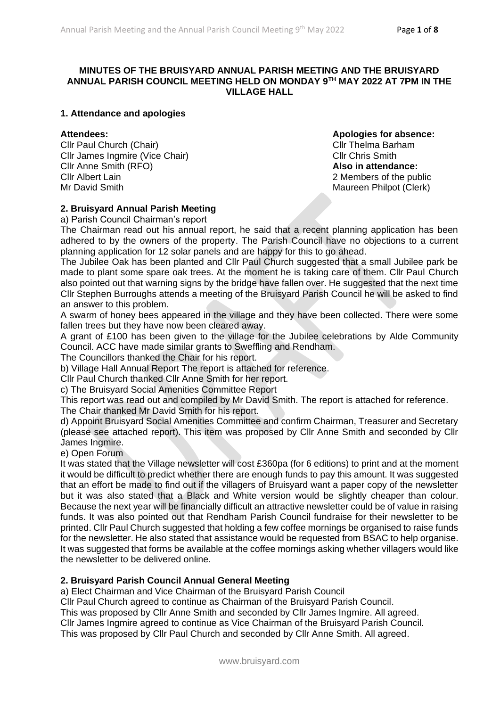### **MINUTES OF THE BRUISYARD ANNUAL PARISH MEETING AND THE BRUISYARD ANNUAL PARISH COUNCIL MEETING HELD ON MONDAY 9TH MAY 2022 AT 7PM IN THE VILLAGE HALL**

#### **1. Attendance and apologies**

Cllr Paul Church (Chair) Cllr Thelma Barham Cllr James Ingmire (Vice Chair) Cllr Chris Smith Cllr Anne Smith (RFO) **Also in attendance:** Cllr Albert Lain 2 Members of the public Mr David Smith Maureen Philpot (Clerk)

**Attendees: Apologies for absence:**

## **2. Bruisyard Annual Parish Meeting**

a) Parish Council Chairman's report

The Chairman read out his annual report, he said that a recent planning application has been adhered to by the owners of the property. The Parish Council have no objections to a current planning application for 12 solar panels and are happy for this to go ahead.

The Jubilee Oak has been planted and Cllr Paul Church suggested that a small Jubilee park be made to plant some spare oak trees. At the moment he is taking care of them. Cllr Paul Church also pointed out that warning signs by the bridge have fallen over. He suggested that the next time Cllr Stephen Burroughs attends a meeting of the Bruisyard Parish Council he will be asked to find an answer to this problem.

A swarm of honey bees appeared in the village and they have been collected. There were some fallen trees but they have now been cleared away.

A grant of £100 has been given to the village for the Jubilee celebrations by Alde Community Council. ACC have made similar grants to Sweffling and Rendham.

The Councillors thanked the Chair for his report.

b) Village Hall Annual Report The report is attached for reference.

Cllr Paul Church thanked Cllr Anne Smith for her report.

c) The Bruisyard Social Amenities Committee Report

This report was read out and compiled by Mr David Smith. The report is attached for reference.

The Chair thanked Mr David Smith for his report.

d) Appoint Bruisyard Social Amenities Committee and confirm Chairman, Treasurer and Secretary (please see attached report). This item was proposed by Cllr Anne Smith and seconded by Cllr James Ingmire.

e) Open Forum

It was stated that the Village newsletter will cost £360pa (for 6 editions) to print and at the moment it would be difficult to predict whether there are enough funds to pay this amount. It was suggested that an effort be made to find out if the villagers of Bruisyard want a paper copy of the newsletter but it was also stated that a Black and White version would be slightly cheaper than colour. Because the next year will be financially difficult an attractive newsletter could be of value in raising funds. It was also pointed out that Rendham Parish Council fundraise for their newsletter to be printed. Cllr Paul Church suggested that holding a few coffee mornings be organised to raise funds for the newsletter. He also stated that assistance would be requested from BSAC to help organise. It was suggested that forms be available at the coffee mornings asking whether villagers would like the newsletter to be delivered online.

## **2. Bruisyard Parish Council Annual General Meeting**

a) Elect Chairman and Vice Chairman of the Bruisyard Parish Council

Cllr Paul Church agreed to continue as Chairman of the Bruisyard Parish Council.

This was proposed by Cllr Anne Smith and seconded by Cllr James Ingmire. All agreed.

Cllr James Ingmire agreed to continue as Vice Chairman of the Bruisyard Parish Council.

This was proposed by Cllr Paul Church and seconded by Cllr Anne Smith. All agreed.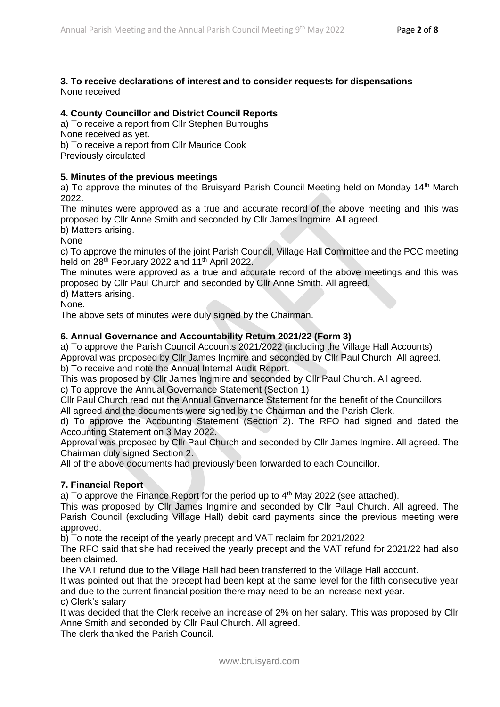#### **3. To receive declarations of interest and to consider requests for dispensations** None received

#### **4. County Councillor and District Council Reports**

a) To receive a report from Cllr Stephen Burroughs None received as yet. b) To receive a report from Cllr Maurice Cook

Previously circulated

#### **5. Minutes of the previous meetings**

a) To approve the minutes of the Bruisyard Parish Council Meeting held on Monday 14<sup>th</sup> March 2022.

The minutes were approved as a true and accurate record of the above meeting and this was proposed by Cllr Anne Smith and seconded by Cllr James Ingmire. All agreed.

b) Matters arising.

None

c) To approve the minutes of the joint Parish Council, Village Hall Committee and the PCC meeting held on 28<sup>th</sup> February 2022 and 11<sup>th</sup> April 2022.

The minutes were approved as a true and accurate record of the above meetings and this was proposed by Cllr Paul Church and seconded by Cllr Anne Smith. All agreed.

d) Matters arising.

None.

The above sets of minutes were duly signed by the Chairman.

#### **6. Annual Governance and Accountability Return 2021/22 (Form 3)**

a) To approve the Parish Council Accounts 2021/2022 (including the Village Hall Accounts) Approval was proposed by Cllr James Ingmire and seconded by Cllr Paul Church. All agreed. b) To receive and note the Annual Internal Audit Report.

This was proposed by Cllr James Ingmire and seconded by Cllr Paul Church. All agreed.

c) To approve the Annual Governance Statement (Section 1)

Cllr Paul Church read out the Annual Governance Statement for the benefit of the Councillors.

All agreed and the documents were signed by the Chairman and the Parish Clerk.

d) To approve the Accounting Statement (Section 2). The RFO had signed and dated the Accounting Statement on 3 May 2022.

Approval was proposed by Cllr Paul Church and seconded by Cllr James Ingmire. All agreed. The Chairman duly signed Section 2.

All of the above documents had previously been forwarded to each Councillor.

#### **7. Financial Report**

a) To approve the Finance Report for the period up to  $4<sup>th</sup>$  May 2022 (see attached).

This was proposed by Cllr James Ingmire and seconded by Cllr Paul Church. All agreed. The Parish Council (excluding Village Hall) debit card payments since the previous meeting were approved.

b) To note the receipt of the yearly precept and VAT reclaim for 2021/2022

The RFO said that she had received the yearly precept and the VAT refund for 2021/22 had also been claimed.

The VAT refund due to the Village Hall had been transferred to the Village Hall account.

It was pointed out that the precept had been kept at the same level for the fifth consecutive year and due to the current financial position there may need to be an increase next year.

c) Clerk's salary

It was decided that the Clerk receive an increase of 2% on her salary. This was proposed by Cllr Anne Smith and seconded by Cllr Paul Church. All agreed.

The clerk thanked the Parish Council.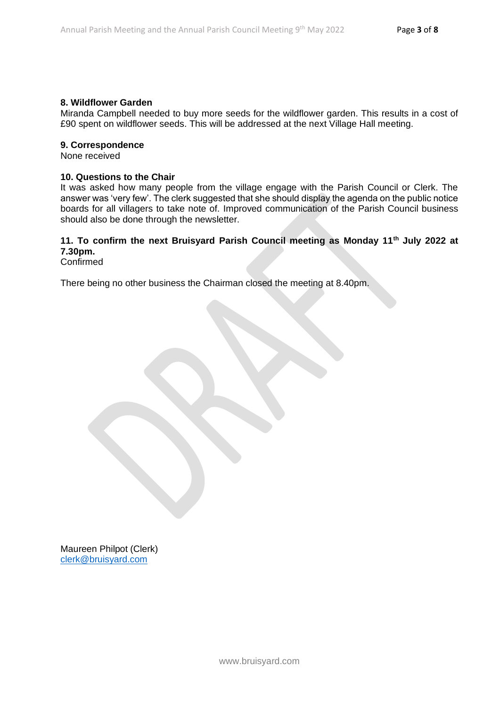## **8. Wildflower Garden**

Miranda Campbell needed to buy more seeds for the wildflower garden. This results in a cost of £90 spent on wildflower seeds. This will be addressed at the next Village Hall meeting.

#### **9. Correspondence**

None received

#### **10. Questions to the Chair**

It was asked how many people from the village engage with the Parish Council or Clerk. The answer was 'very few'. The clerk suggested that she should display the agenda on the public notice boards for all villagers to take note of. Improved communication of the Parish Council business should also be done through the newsletter.

# **11. To confirm the next Bruisyard Parish Council meeting as Monday 11th July 2022 at 7.30pm.**

Confirmed

There being no other business the Chairman closed the meeting at 8.40pm.

Maureen Philpot (Clerk) [clerk@bruisyard.com](mailto:clerk@bruisyard.com)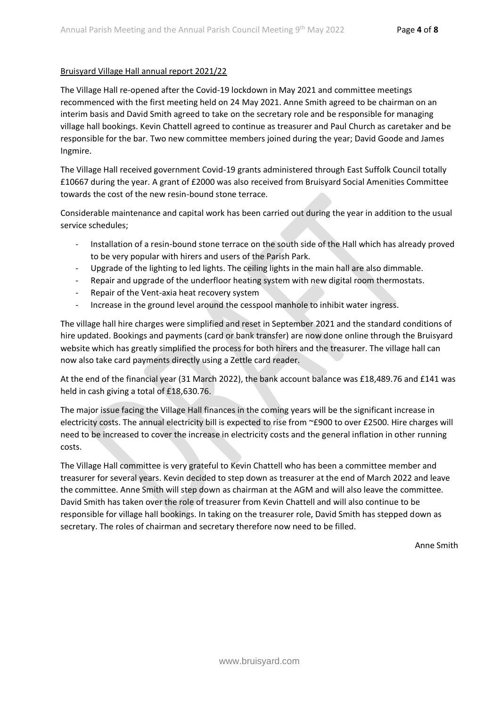#### Bruisyard Village Hall annual report 2021/22

The Village Hall re-opened after the Covid-19 lockdown in May 2021 and committee meetings recommenced with the first meeting held on 24 May 2021. Anne Smith agreed to be chairman on an interim basis and David Smith agreed to take on the secretary role and be responsible for managing village hall bookings. Kevin Chattell agreed to continue as treasurer and Paul Church as caretaker and be responsible for the bar. Two new committee members joined during the year; David Goode and James Ingmire.

The Village Hall received government Covid-19 grants administered through East Suffolk Council totally £10667 during the year. A grant of £2000 was also received from Bruisyard Social Amenities Committee towards the cost of the new resin-bound stone terrace.

Considerable maintenance and capital work has been carried out during the year in addition to the usual service schedules;

- Installation of a resin-bound stone terrace on the south side of the Hall which has already proved to be very popular with hirers and users of the Parish Park.
- Upgrade of the lighting to led lights. The ceiling lights in the main hall are also dimmable.
- Repair and upgrade of the underfloor heating system with new digital room thermostats.
- Repair of the Vent-axia heat recovery system
- Increase in the ground level around the cesspool manhole to inhibit water ingress.

The village hall hire charges were simplified and reset in September 2021 and the standard conditions of hire updated. Bookings and payments (card or bank transfer) are now done online through the Bruisyard website which has greatly simplified the process for both hirers and the treasurer. The village hall can now also take card payments directly using a Zettle card reader.

At the end of the financial year (31 March 2022), the bank account balance was £18,489.76 and £141 was held in cash giving a total of £18,630.76.

The major issue facing the Village Hall finances in the coming years will be the significant increase in electricity costs. The annual electricity bill is expected to rise from ~£900 to over £2500. Hire charges will need to be increased to cover the increase in electricity costs and the general inflation in other running costs.

The Village Hall committee is very grateful to Kevin Chattell who has been a committee member and treasurer for several years. Kevin decided to step down as treasurer at the end of March 2022 and leave the committee. Anne Smith will step down as chairman at the AGM and will also leave the committee. David Smith has taken over the role of treasurer from Kevin Chattell and will also continue to be responsible for village hall bookings. In taking on the treasurer role, David Smith has stepped down as secretary. The roles of chairman and secretary therefore now need to be filled.

Anne Smith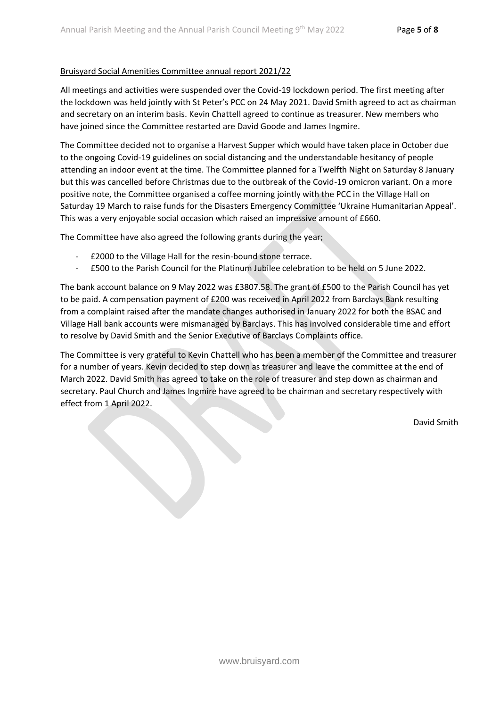#### Bruisyard Social Amenities Committee annual report 2021/22

All meetings and activities were suspended over the Covid-19 lockdown period. The first meeting after the lockdown was held jointly with St Peter's PCC on 24 May 2021. David Smith agreed to act as chairman and secretary on an interim basis. Kevin Chattell agreed to continue as treasurer. New members who have joined since the Committee restarted are David Goode and James Ingmire.

The Committee decided not to organise a Harvest Supper which would have taken place in October due to the ongoing Covid-19 guidelines on social distancing and the understandable hesitancy of people attending an indoor event at the time. The Committee planned for a Twelfth Night on Saturday 8 January but this was cancelled before Christmas due to the outbreak of the Covid-19 omicron variant. On a more positive note, the Committee organised a coffee morning jointly with the PCC in the Village Hall on Saturday 19 March to raise funds for the Disasters Emergency Committee 'Ukraine Humanitarian Appeal'. This was a very enjoyable social occasion which raised an impressive amount of £660.

The Committee have also agreed the following grants during the year;

- £2000 to the Village Hall for the resin-bound stone terrace.
- £500 to the Parish Council for the Platinum Jubilee celebration to be held on 5 June 2022.

The bank account balance on 9 May 2022 was £3807.58. The grant of £500 to the Parish Council has yet to be paid. A compensation payment of £200 was received in April 2022 from Barclays Bank resulting from a complaint raised after the mandate changes authorised in January 2022 for both the BSAC and Village Hall bank accounts were mismanaged by Barclays. This has involved considerable time and effort to resolve by David Smith and the Senior Executive of Barclays Complaints office.

The Committee is very grateful to Kevin Chattell who has been a member of the Committee and treasurer for a number of years. Kevin decided to step down as treasurer and leave the committee at the end of March 2022. David Smith has agreed to take on the role of treasurer and step down as chairman and secretary. Paul Church and James Ingmire have agreed to be chairman and secretary respectively with effect from 1 April 2022.

David Smith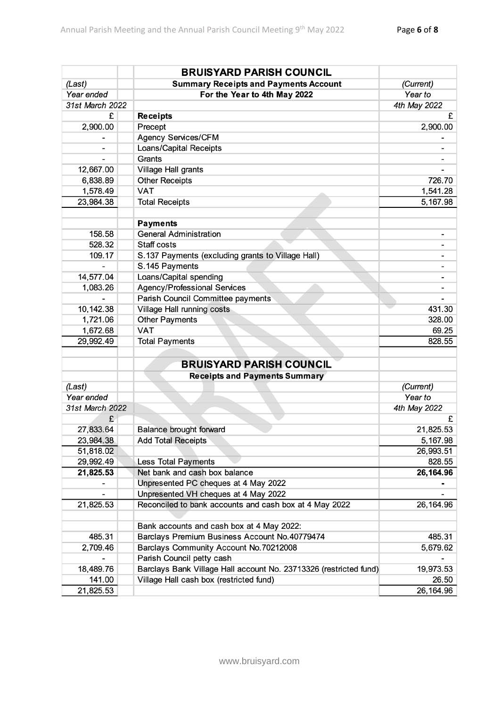|                 | <b>BRUISYARD PARISH COUNCIL</b>                                   |              |
|-----------------|-------------------------------------------------------------------|--------------|
| (Last)          | <b>Summary Receipts and Payments Account</b>                      | (Current)    |
| Year ended      | For the Year to 4th May 2022                                      | Year to      |
| 31st March 2022 |                                                                   | 4th May 2022 |
| £               | <b>Receipts</b>                                                   | £            |
| 2,900.00        | Precept                                                           | 2,900.00     |
|                 | <b>Agency Services/CFM</b>                                        |              |
|                 | Loans/Capital Receipts                                            |              |
|                 | Grants                                                            |              |
| 12,667.00       | Village Hall grants                                               |              |
| 6,838.89        | <b>Other Receipts</b>                                             | 726.70       |
| 1,578.49        | <b>VAT</b>                                                        | 1,541.28     |
| 23,984.38       | <b>Total Receipts</b>                                             | 5,167.98     |
|                 |                                                                   |              |
|                 | <b>Payments</b>                                                   |              |
| 158.58          | <b>General Administration</b>                                     |              |
| 528.32          | Staff costs                                                       |              |
| 109.17          | S.137 Payments (excluding grants to Village Hall)                 |              |
|                 | S.145 Payments                                                    |              |
| 14,577.04       | Loans/Capital spending                                            |              |
| 1,083.26        | <b>Agency/Professional Services</b>                               |              |
|                 | Parish Council Committee payments                                 |              |
| 10,142.38       | Village Hall running costs                                        | 431.30       |
| 1,721.06        | <b>Other Payments</b>                                             | 328.00       |
| 1,672.68        | <b>VAT</b>                                                        | 69.25        |
| 29,992.49       | <b>Total Payments</b>                                             | 828.55       |
|                 | <b>BRUISYARD PARISH COUNCIL</b>                                   |              |
|                 | <b>Receipts and Payments Summary</b>                              |              |
| (Last)          |                                                                   | (Current)    |
| Year ended      |                                                                   | Year to      |
| 31st March 2022 |                                                                   | 4th May 2022 |
| £               |                                                                   | £            |
| 27,833.64       | <b>Balance brought forward</b>                                    | 21,825.53    |
| 23,984.38       | <b>Add Total Receipts</b>                                         | 5,167.98     |
| 51,818.02       |                                                                   | 26,993.51    |
| 29,992.49       | <b>Less Total Payments</b>                                        | 828.55       |
| 21,825.53       | Net bank and cash box balance                                     | 26,164.96    |
|                 | Unpresented PC cheques at 4 May 2022                              |              |
|                 | Unpresented VH cheques at 4 May 2022                              |              |
| 21,825.53       | Reconciled to bank accounts and cash box at 4 May 2022            | 26, 164.96   |
|                 |                                                                   |              |
|                 | Bank accounts and cash box at 4 May 2022:                         |              |
| 485.31          | Barclays Premium Business Account No.40779474                     | 485.31       |
| 2,709.46        | Barclays Community Account No.70212008                            | 5,679.62     |
|                 | Parish Council petty cash                                         |              |
| 18,489.76       | Barclays Bank Village Hall account No. 23713326 (restricted fund) | 19,973.53    |
| 141.00          | Village Hall cash box (restricted fund)                           | 26.50        |
| 21,825.53       |                                                                   | 26, 164.96   |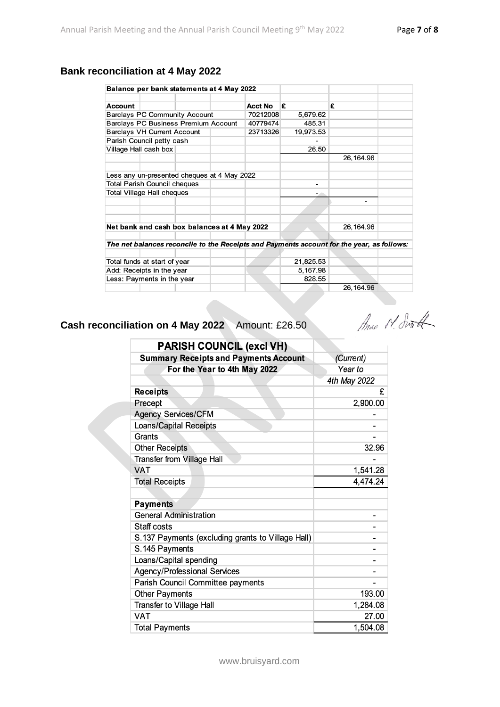# **Bank reconciliation at 4 May 2022**

| Balance per bank statements at 4 May 2022                                                 |  |          |           |                |
|-------------------------------------------------------------------------------------------|--|----------|-----------|----------------|
| Account                                                                                   |  | Acct No  | £         | £              |
| <b>Barclays PC Community Account</b>                                                      |  | 70212008 | 5,679.62  |                |
| <b>Barclays PC Business Premium Account</b>                                               |  | 40779474 | 485.31    |                |
| <b>Barclays VH Current Account</b>                                                        |  | 23713326 | 19,973.53 |                |
| Parish Council petty cash                                                                 |  |          |           |                |
| Village Hall cash box                                                                     |  |          | 26.50     |                |
|                                                                                           |  |          |           | 26, 164.96     |
| Less any un-presented cheques at 4 May 2022                                               |  |          |           |                |
| <b>Total Parish Council cheques</b>                                                       |  |          | -         |                |
| <b>Total Village Hall cheques</b>                                                         |  |          | - 10      |                |
|                                                                                           |  |          |           | $\blacksquare$ |
|                                                                                           |  |          |           |                |
|                                                                                           |  |          |           |                |
| Net bank and cash box balances at 4 May 2022                                              |  |          |           | 26, 164.96     |
| The net balances reconcile to the Receipts and Payments account for the year, as follows: |  |          |           |                |
| Total funds at start of year                                                              |  |          | 21,825.53 |                |
| Add: Receipts in the year                                                                 |  | 5,167.98 |           |                |
| Less: Payments in the year                                                                |  | 828.55   |           |                |
|                                                                                           |  |          |           | 26, 164.96     |

# **Cash reconciliation on 4 May 2022** Amount: £26.50

Mac N. South

| <b>PARISH COUNCIL (excl VH)</b>                   |              |
|---------------------------------------------------|--------------|
| <b>Summary Receipts and Payments Account</b>      | (Current)    |
| For the Year to 4th May 2022                      | Year to      |
|                                                   | 4th May 2022 |
| <b>Receipts</b>                                   | £            |
| Precept                                           | 2,900.00     |
| <b>Agency Services/CFM</b>                        |              |
| <b>Loans/Capital Receipts</b>                     |              |
| Grants                                            |              |
| <b>Other Receipts</b>                             | 32.96        |
| <b>Transfer from Village Hall</b>                 |              |
| <b>VAT</b>                                        | 1,541.28     |
| <b>Total Receipts</b>                             | 4,474.24     |
|                                                   |              |
| <b>Payments</b>                                   |              |
| <b>General Administration</b>                     |              |
| Staff costs                                       |              |
| S.137 Payments (excluding grants to Village Hall) |              |
| S.145 Payments                                    |              |
| Loans/Capital spending                            |              |
| <b>Agency/Professional Services</b>               |              |
| Parish Council Committee payments                 |              |
| <b>Other Payments</b>                             | 193.00       |
| Transfer to Village Hall                          | 1,284.08     |
| <b>VAT</b>                                        | 27.00        |
| <b>Total Payments</b>                             | 1,504.08     |

www.bruisyard.com